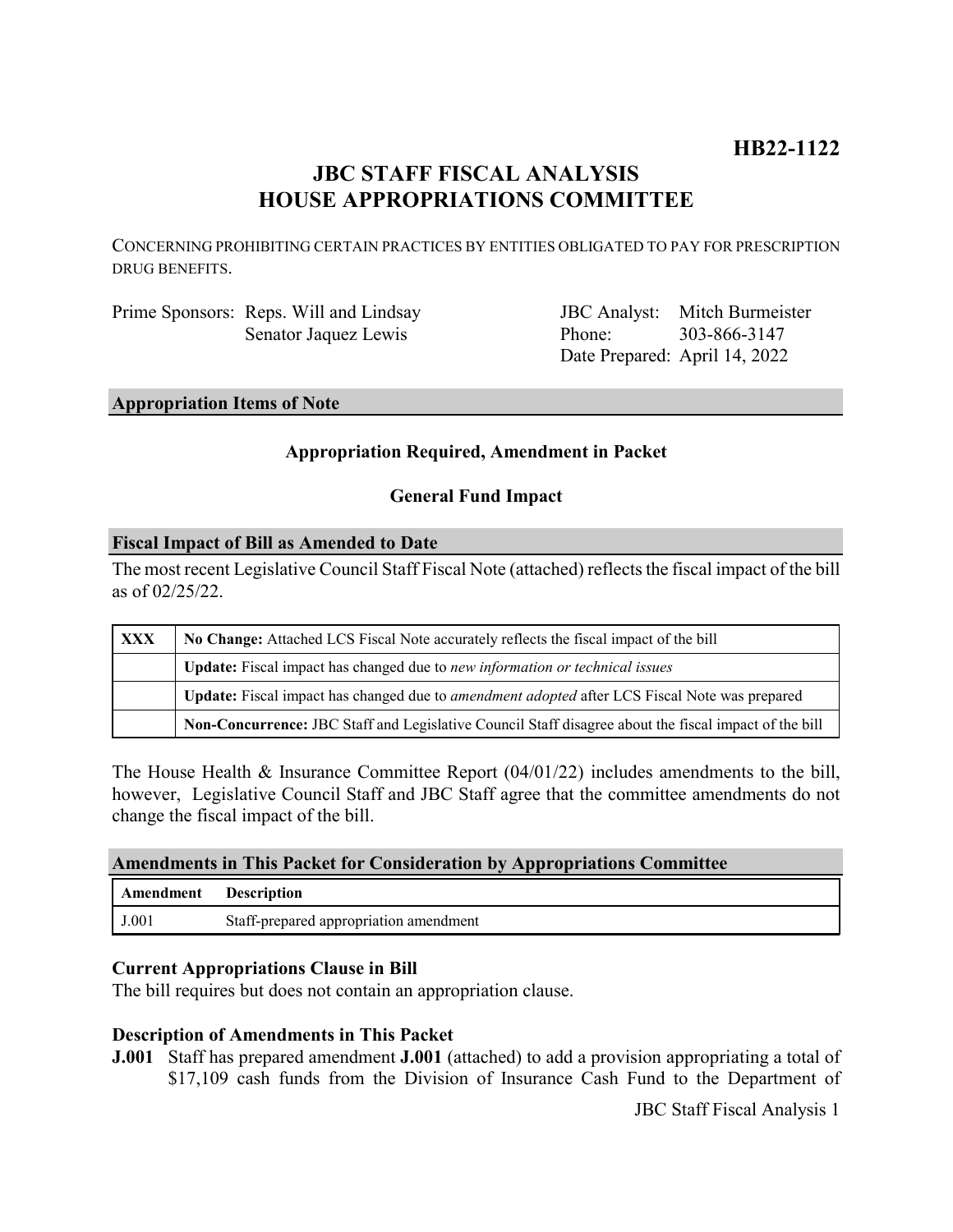# **HB22-1122**

# **JBC STAFF FISCAL ANALYSIS HOUSE APPROPRIATIONS COMMITTEE**

CONCERNING PROHIBITING CERTAIN PRACTICES BY ENTITIES OBLIGATED TO PAY FOR PRESCRIPTION DRUG BENEFITS.

Prime Sponsors: Reps. Will and Lindsay Senator Jaquez Lewis

JBC Analyst: Mitch Burmeister Phone: Date Prepared: April 14, 2022 303-866-3147

# **Appropriation Items of Note**

## **Appropriation Required, Amendment in Packet**

### **General Fund Impact**

### **Fiscal Impact of Bill as Amended to Date**

The most recent Legislative Council Staff Fiscal Note (attached) reflects the fiscal impact of the bill as of 02/25/22.

| XXX | No Change: Attached LCS Fiscal Note accurately reflects the fiscal impact of the bill                 |
|-----|-------------------------------------------------------------------------------------------------------|
|     | <b>Update:</b> Fiscal impact has changed due to new information or technical issues                   |
|     | Update: Fiscal impact has changed due to <i>amendment adopted</i> after LCS Fiscal Note was prepared  |
|     | Non-Concurrence: JBC Staff and Legislative Council Staff disagree about the fiscal impact of the bill |

The House Health & Insurance Committee Report  $(04/01/22)$  includes amendments to the bill, however, Legislative Council Staff and JBC Staff agree that the committee amendments do not change the fiscal impact of the bill.

#### **Amendments in This Packet for Consideration by Appropriations Committee**

| Amendment      | <b>Description</b>                     |
|----------------|----------------------------------------|
| $_{\rm J.001}$ | Staff-prepared appropriation amendment |

#### **Current Appropriations Clause in Bill**

The bill requires but does not contain an appropriation clause.

## **Description of Amendments in This Packet**

**J.001** Staff has prepared amendment **J.001** (attached) to add a provision appropriating a total of \$17,109 cash funds from the Division of Insurance Cash Fund to the Department of